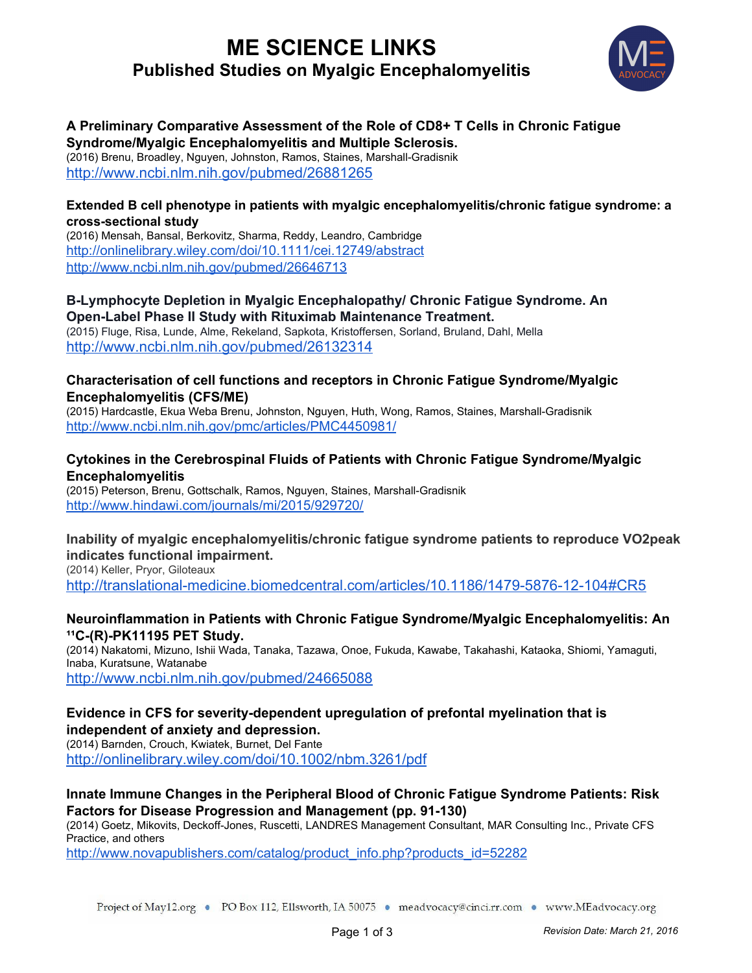# **ME SCIENCE LINKS Published Studies on Myalgic Encephalomyelitis**



# **A Preliminary Comparative Assessment of the Role of CD8+ T Cells in Chronic Fatigue Syndrome/Myalgic Encephalomyelitis and Multiple Sclerosis.**

(2016) [Brenu,](http://www.ncbi.nlm.nih.gov/pubmed/?term=Brenu%20EW%5BAuthor%5D&cauthor=true&cauthor_uid=26881265) [Broadley,](http://www.ncbi.nlm.nih.gov/pubmed/?term=Broadley%20S%5BAuthor%5D&cauthor=true&cauthor_uid=26881265) [Nguyen,](http://www.ncbi.nlm.nih.gov/pubmed/?term=Nguyen%20T%5BAuthor%5D&cauthor=true&cauthor_uid=26881265) [Johnston,](http://www.ncbi.nlm.nih.gov/pubmed/?term=Johnston%20S%5BAuthor%5D&cauthor=true&cauthor_uid=26881265) [Ramos,](http://www.ncbi.nlm.nih.gov/pubmed/?term=Ramos%20S%5BAuthor%5D&cauthor=true&cauthor_uid=26881265) [Staines](http://www.ncbi.nlm.nih.gov/pubmed/?term=Staines%20D%5BAuthor%5D&cauthor=true&cauthor_uid=26881265), Marshall-Gradisnik <http://www.ncbi.nlm.nih.gov/pubmed/26881265>

### **Extended B cell phenotype in patients with myalgic encephalomyelitis/chronic fatigue syndrome: a crosssectional study**

(2016) Mensah, Bansal, Berkovitz, Sharma, Reddy, Leandro, Cambridge <http://onlinelibrary.wiley.com/doi/10.1111/cei.12749/abstract> <http://www.ncbi.nlm.nih.gov/pubmed/26646713>

#### **BLymphocyte Depletion in Myalgic Encephalopathy/ Chronic Fatigue Syndrome. An OpenLabel Phase II Study with Rituximab Maintenance Treatment.**

(2015) Fluge, Risa, Lunde, Alme, Rekeland, Sapkota, Kristoffersen, Sorland, Bruland, Dahl, Mella <http://www.ncbi.nlm.nih.gov/pubmed/26132314>

### **Characterisation of cell functions and receptors in Chronic Fatigue Syndrome/Myalgic Encephalomyelitis (CFS/ME)**

(2015) Hardcastle, Ekua Weba Brenu, Johnston, Nguyen, Huth, Wong, Ramos, Staines, Marshall-Gradisnik <http://www.ncbi.nlm.nih.gov/pmc/articles/PMC4450981/>

## **Cytokines in the Cerebrospinal Fluids of Patients with Chronic Fatigue Syndrome/Myalgic Encephalomyelitis**

(2015) Peterson, Brenu, Gottschalk, Ramos, Nguyen, Staines, Marshall-Gradisnik <http://www.hindawi.com/journals/mi/2015/929720/>

## **Inability of myalgic encephalomyelitis/chronic fatigue syndrome patients to reproduce VO2peak indicates functional impairment.**

(2014) Keller, Pryor, Giloteaux http://translational-medicine.biomedcentral.com/articles/10.1186/1479-5876-12-104#CR5

### **Neuroinflammation in Patients with Chronic Fatigue Syndrome/Myalgic Encephalomyelitis: An ¹¹C(R)PK11195 PET Study.**

(2014) Nakatomi, Mizuno, Ishii Wada, Tanaka, Tazawa, Onoe, Fukuda, Kawabe, Takahashi, Kataoka, Shiomi, Yamaguti, Inaba, Kuratsune, Watanabe

<http://www.ncbi.nlm.nih.gov/pubmed/24665088>

#### **Evidence** in CFS for severity-dependent upregulation of prefontal myelination that is **independent of anxiety and depression.**

(2014) Barnden, Crouch, Kwiatek, Burnet, Del Fante

<http://onlinelibrary.wiley.com/doi/10.1002/nbm.3261/pdf>

## **Innate Immune Changes in the Peripheral Blood of Chronic Fatigue Syndrome Patients: Risk Factors** for Disease Progression and Management (pp. 91-130)

(2014) Goetz, Mikovits, Deckoff-Jones, Ruscetti, LANDRES Management Consultant, MAR Consulting Inc., Private CFS Practice, and others

[http://www.novapublishers.com/catalog/product\\_info.php?products\\_id=52282](http://www.novapublishers.com/catalog/product_info.php?products_id=52282)

Project of May12.org • PO Box 112, Ellsworth, IA 50075 • meadvocacy@cinci.rr.com • www.MEadvocacy.org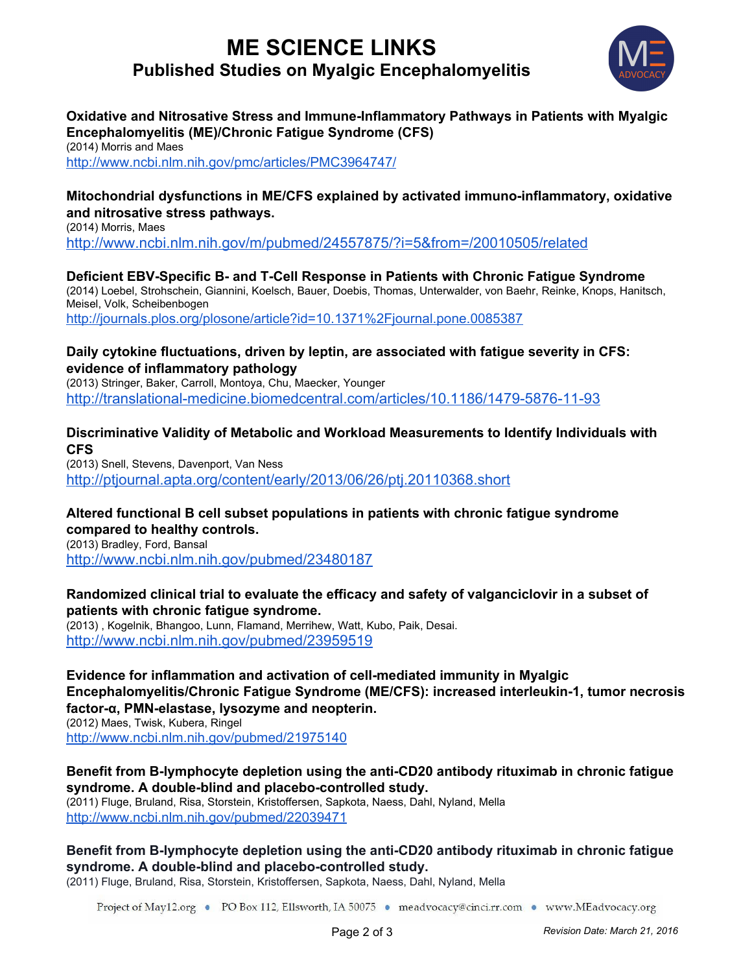# **ME SCIENCE LINKS Published Studies on Myalgic Encephalomyelitis**



# **Oxidative and Nitrosative Stress and Immune-Inflammatory Pathways in Patients with Myalgic Encephalomyelitis (ME)/Chronic Fatigue Syndrome (CFS)**

(2014) Morris and Maes <http://www.ncbi.nlm.nih.gov/pmc/articles/PMC3964747/>

## **Mitochondrial dysfunctions in ME/CFS explained by activated immunoinflammatory, oxidative and nitrosative stress pathways.**

(2014) Morris, Maes <http://www.ncbi.nlm.nih.gov/m/pubmed/24557875/?i=5&from=/20010505/related>

## **Deficient EBVSpecific B and TCell Response in Patients with Chronic Fatigue Syndrome**

(2014) Loebel, Strohschein, Giannini, Koelsch, Bauer, Doebis, Thomas, Unterwalder, von Baehr, Reinke, Knops, Hanitsch, Meisel, Volk, Scheibenbogen

<http://journals.plos.org/plosone/article?id=10.1371%2Fjournal.pone.0085387>

#### **Daily cytokine fluctuations, driven by leptin, are associated with fatigue severity in CFS: evidence of inflammatory pathology**

(2013) Stringer, Baker, Carroll, Montoya, Chu, Maecker, Younger http://translational-medicine.biomedcentral.com/articles/10.1186/1479-5876-11-93

**Discriminative Validity of Metabolic and Workload Measurements to Identify Individuals with CFS**

(2013) Snell, Stevens, Davenport, Van Ness <http://ptjournal.apta.org/content/early/2013/06/26/ptj.20110368.short>

# **Altered functional B cell subset populations in patients with chronic fatigue syndrome compared to healthy controls.**

(2013) Bradley, Ford, Bansal <http://www.ncbi.nlm.nih.gov/pubmed/23480187>

## **Randomized clinical trial to evaluate the efficacy and safety of valganciclovir in a subset of patients with chronic fatigue syndrome.**

(2013) , [Kogelnik](http://www.ncbi.nlm.nih.gov/pubmed/?term=Kogelnik%20AM%5BAuthor%5D&cauthor=true&cauthor_uid=23959519), [Bhangoo,](http://www.ncbi.nlm.nih.gov/pubmed/?term=Bhangoo%20M%5BAuthor%5D&cauthor=true&cauthor_uid=23959519) [Lunn](http://www.ncbi.nlm.nih.gov/pubmed/?term=Lunn%20MR%5BAuthor%5D&cauthor=true&cauthor_uid=23959519), [Flamand,](http://www.ncbi.nlm.nih.gov/pubmed/?term=Flamand%20L%5BAuthor%5D&cauthor=true&cauthor_uid=23959519) [Merrihew,](http://www.ncbi.nlm.nih.gov/pubmed/?term=Merrihew%20LE%5BAuthor%5D&cauthor=true&cauthor_uid=23959519) [Watt,](http://www.ncbi.nlm.nih.gov/pubmed/?term=Watt%20T%5BAuthor%5D&cauthor=true&cauthor_uid=23959519) [Kubo,](http://www.ncbi.nlm.nih.gov/pubmed/?term=Kubo%20JT%5BAuthor%5D&cauthor=true&cauthor_uid=23959519) [Paik,](http://www.ncbi.nlm.nih.gov/pubmed/?term=Paik%20J%5BAuthor%5D&cauthor=true&cauthor_uid=23959519) [Desai.](http://www.ncbi.nlm.nih.gov/pubmed/?term=Desai%20M%5BAuthor%5D&cauthor=true&cauthor_uid=23959519) http://www.ncbi.nlm.nih.gov/pubmed/23959519

**Evidence for inflammation and activation of cellmediated immunity in Myalgic Encephalomyelitis/Chronic Fatigue Syndrome (ME/CFS): increased interleukin1, tumor necrosis factorα, PMNelastase, lysozyme and neopterin.** (2012) Maes, Twisk, Kubera, Ringel <http://www.ncbi.nlm.nih.gov/pubmed/21975140>

## **Benefit** from B-lymphocyte depletion using the anti-CD20 antibody rituximab in chronic fatigue **syndrome. A doubleblind and placebocontrolled study.**

(2011) Fluge, Bruland, Risa, Storstein, Kristoffersen, Sapkota, Naess, Dahl, Nyland, Mella <http://www.ncbi.nlm.nih.gov/pubmed/22039471>

# **Benefit from Blymphocyte depletion using the antiCD20 antibody rituximab in chronic fatigue syndrome.** A double-blind and placebo-controlled study.

(2011) Fluge, Bruland, Risa, Storstein, Kristoffersen, Sapkota, Naess, Dahl, Nyland, Mella

Project of May12.org • PO Box 112, Ellsworth, IA 50075 • meadvocacy@cinci.rr.com • www.MEadvocacy.org